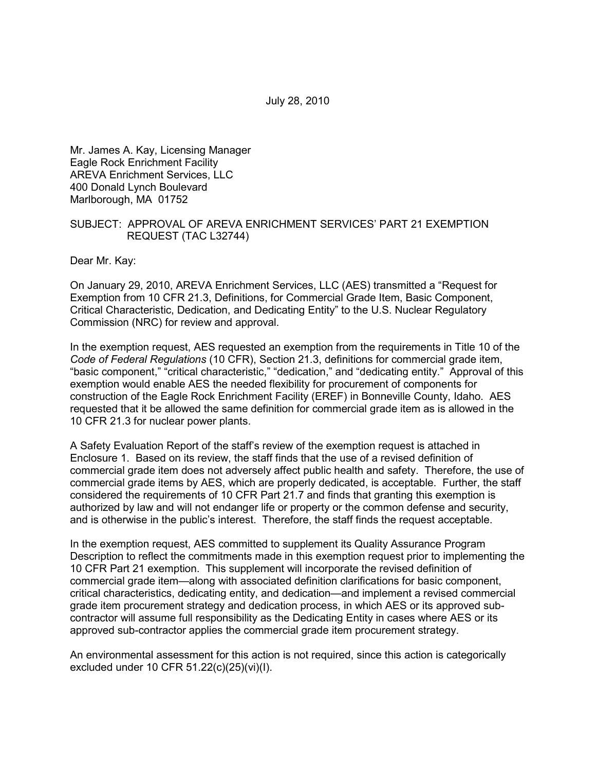July 28, 2010

Mr. James A. Kay, Licensing Manager Eagle Rock Enrichment Facility AREVA Enrichment Services, LLC 400 Donald Lynch Boulevard Marlborough, MA 01752

## SUBJECT: APPROVAL OF AREVA ENRICHMENT SERVICES' PART 21 EXEMPTION REQUEST (TAC L32744)

Dear Mr. Kay:

On January 29, 2010, AREVA Enrichment Services, LLC (AES) transmitted a "Request for Exemption from 10 CFR 21.3, Definitions, for Commercial Grade Item, Basic Component, Critical Characteristic, Dedication, and Dedicating Entity" to the U.S. Nuclear Regulatory Commission (NRC) for review and approval.

In the exemption request, AES requested an exemption from the requirements in Title 10 of the *Code of Federal Regulations* (10 CFR), Section 21.3, definitions for commercial grade item, "basic component," "critical characteristic," "dedication," and "dedicating entity." Approval of this exemption would enable AES the needed flexibility for procurement of components for construction of the Eagle Rock Enrichment Facility (EREF) in Bonneville County, Idaho. AES requested that it be allowed the same definition for commercial grade item as is allowed in the 10 CFR 21.3 for nuclear power plants.

A Safety Evaluation Report of the staff's review of the exemption request is attached in Enclosure 1. Based on its review, the staff finds that the use of a revised definition of commercial grade item does not adversely affect public health and safety. Therefore, the use of commercial grade items by AES, which are properly dedicated, is acceptable. Further, the staff considered the requirements of 10 CFR Part 21.7 and finds that granting this exemption is authorized by law and will not endanger life or property or the common defense and security, and is otherwise in the public's interest. Therefore, the staff finds the request acceptable.

In the exemption request, AES committed to supplement its Quality Assurance Program Description to reflect the commitments made in this exemption request prior to implementing the 10 CFR Part 21 exemption. This supplement will incorporate the revised definition of commercial grade item—along with associated definition clarifications for basic component, critical characteristics, dedicating entity, and dedication—and implement a revised commercial grade item procurement strategy and dedication process, in which AES or its approved subcontractor will assume full responsibility as the Dedicating Entity in cases where AES or its approved sub-contractor applies the commercial grade item procurement strategy.

An environmental assessment for this action is not required, since this action is categorically excluded under 10 CFR 51.22(c)(25)(vi)(I).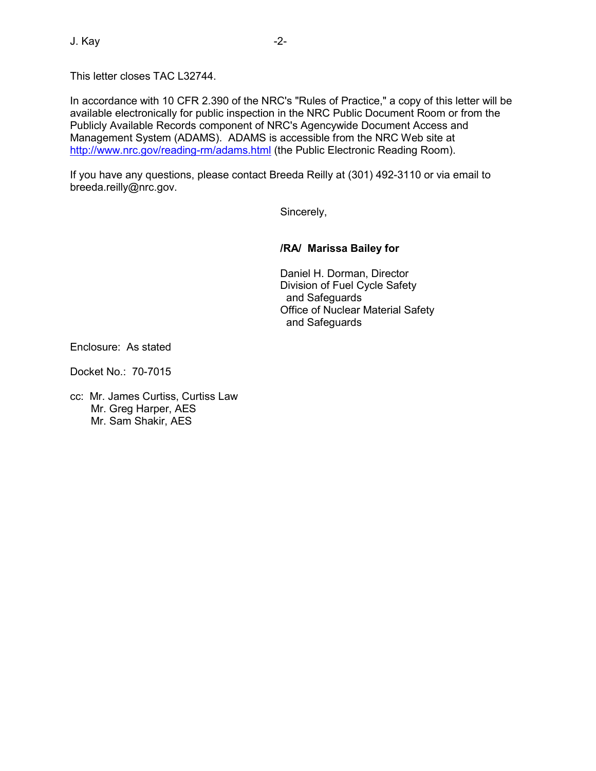In accordance with 10 CFR 2.390 of the NRC's "Rules of Practice," a copy of this letter will be available electronically for public inspection in the NRC Public Document Room or from the Publicly Available Records component of NRC's Agencywide Document Access and Management System (ADAMS). ADAMS is accessible from the NRC Web site at http://www.nrc.gov/reading-rm/adams.html (the Public Electronic Reading Room).

If you have any questions, please contact Breeda Reilly at (301) 492-3110 or via email to breeda.reilly@nrc.gov.

Sincerely,

# **/RA/ Marissa Bailey for**

Daniel H. Dorman, Director Division of Fuel Cycle Safety and Safeguards Office of Nuclear Material Safety and Safeguards

Enclosure: As stated

Docket No.: 70-7015

cc: Mr. James Curtiss, Curtiss Law Mr. Greg Harper, AES Mr. Sam Shakir, AES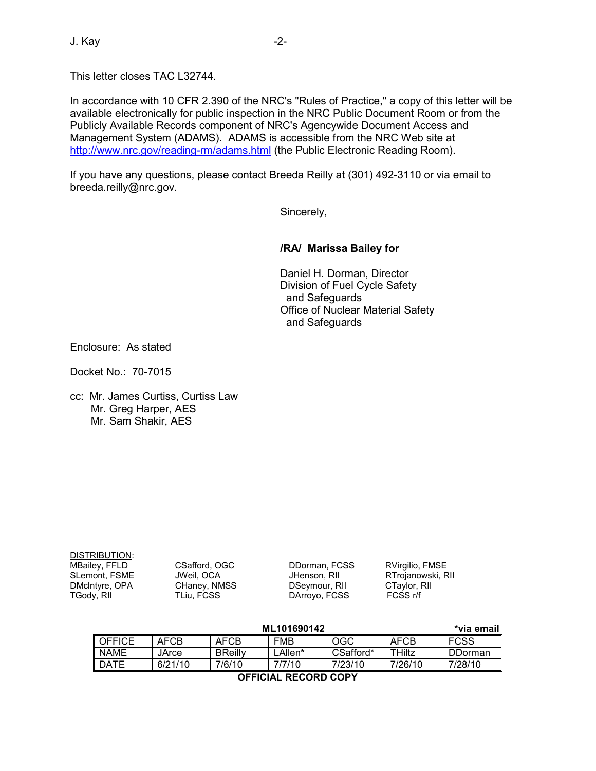In accordance with 10 CFR 2.390 of the NRC's "Rules of Practice," a copy of this letter will be available electronically for public inspection in the NRC Public Document Room or from the Publicly Available Records component of NRC's Agencywide Document Access and Management System (ADAMS). ADAMS is accessible from the NRC Web site at http://www.nrc.gov/reading-rm/adams.html (the Public Electronic Reading Room).

If you have any questions, please contact Breeda Reilly at (301) 492-3110 or via email to breeda.reilly@nrc.gov.

Sincerely,

## **/RA/ Marissa Bailey for**

Daniel H. Dorman, Director Division of Fuel Cycle Safety and Safeguards Office of Nuclear Material Safety and Safeguards

Enclosure: As stated

Docket No.: 70-7015

cc: Mr. James Curtiss, Curtiss Law Mr. Greg Harper, AES Mr. Sam Shakir, AES

| DMcIntyre, OPA<br>CHaney, NMSS<br>DSeymour, RII<br>CTaylor, RII<br>DArroyo, FCSS<br>FCSS r/f<br>TGody, RII<br>TLiu, FCSS | DISTRIBUTION:<br>MBailey, FFLD<br>SLemont, FSME | CSafford, OGC<br>JWeil, OCA | DDorman, FCSS<br>JHenson, RII | RVirgilio, FMSE<br>RTrojanowski, RII |  |
|--------------------------------------------------------------------------------------------------------------------------|-------------------------------------------------|-----------------------------|-------------------------------|--------------------------------------|--|
|--------------------------------------------------------------------------------------------------------------------------|-------------------------------------------------|-----------------------------|-------------------------------|--------------------------------------|--|

|                      |         | *via email     |            |           |               |                |  |  |
|----------------------|---------|----------------|------------|-----------|---------------|----------------|--|--|
| <b>OFFICE</b>        | AFCB    | AFCB           | <b>FMB</b> | OGC       | <b>AFCB</b>   | <b>FCSS</b>    |  |  |
| <b>NAME</b>          | JArce   | <b>BReilly</b> | _Allen*    | CSafford* | <b>THiltz</b> | <b>DDorman</b> |  |  |
| <b>DATE</b>          | 6/21/10 | 7/6/10         | 7/7/10     | 7/23/10   | 7/26/10       | 7/28/10        |  |  |
| AFFICIAL BECABB CABY |         |                |            |           |               |                |  |  |

**OFFICIAL RECORD COPY**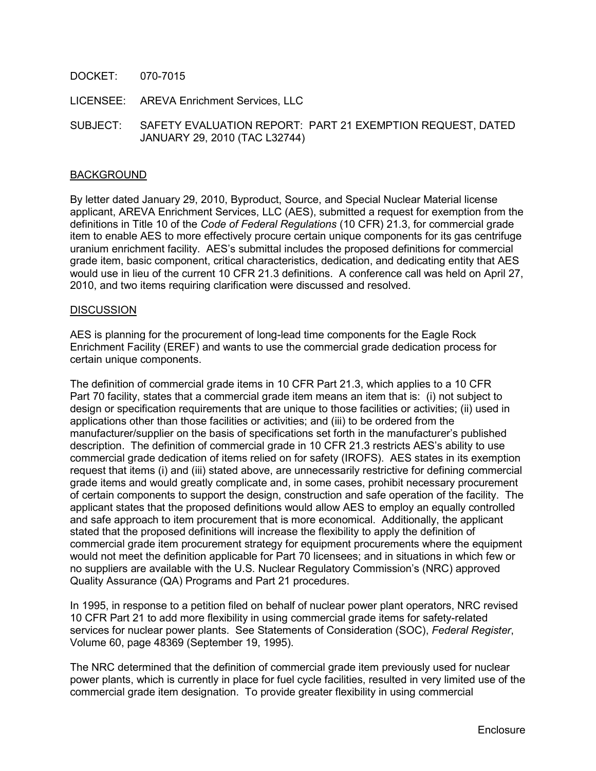DOCKET: 070-7015

LICENSEE: AREVA Enrichment Services, LLC

SUBJECT: SAFETY EVALUATION REPORT: PART 21 EXEMPTION REQUEST, DATED JANUARY 29, 2010 (TAC L32744)

### BACKGROUND

By letter dated January 29, 2010, Byproduct, Source, and Special Nuclear Material license applicant, AREVA Enrichment Services, LLC (AES), submitted a request for exemption from the definitions in Title 10 of the *Code of Federal Regulations* (10 CFR) 21.3, for commercial grade item to enable AES to more effectively procure certain unique components for its gas centrifuge uranium enrichment facility. AES's submittal includes the proposed definitions for commercial grade item, basic component, critical characteristics, dedication, and dedicating entity that AES would use in lieu of the current 10 CFR 21.3 definitions. A conference call was held on April 27, 2010, and two items requiring clarification were discussed and resolved.

#### **DISCUSSION**

AES is planning for the procurement of long-lead time components for the Eagle Rock Enrichment Facility (EREF) and wants to use the commercial grade dedication process for certain unique components.

The definition of commercial grade items in 10 CFR Part 21.3, which applies to a 10 CFR Part 70 facility, states that a commercial grade item means an item that is: (i) not subject to design or specification requirements that are unique to those facilities or activities; (ii) used in applications other than those facilities or activities; and (iii) to be ordered from the manufacturer/supplier on the basis of specifications set forth in the manufacturer's published description. The definition of commercial grade in 10 CFR 21.3 restricts AES's ability to use commercial grade dedication of items relied on for safety (IROFS). AES states in its exemption request that items (i) and (iii) stated above, are unnecessarily restrictive for defining commercial grade items and would greatly complicate and, in some cases, prohibit necessary procurement of certain components to support the design, construction and safe operation of the facility. The applicant states that the proposed definitions would allow AES to employ an equally controlled and safe approach to item procurement that is more economical. Additionally, the applicant stated that the proposed definitions will increase the flexibility to apply the definition of commercial grade item procurement strategy for equipment procurements where the equipment would not meet the definition applicable for Part 70 licensees; and in situations in which few or no suppliers are available with the U.S. Nuclear Regulatory Commission's (NRC) approved Quality Assurance (QA) Programs and Part 21 procedures.

In 1995, in response to a petition filed on behalf of nuclear power plant operators, NRC revised 10 CFR Part 21 to add more flexibility in using commercial grade items for safety-related services for nuclear power plants. See Statements of Consideration (SOC), *Federal Register*, Volume 60, page 48369 (September 19, 1995).

The NRC determined that the definition of commercial grade item previously used for nuclear power plants, which is currently in place for fuel cycle facilities, resulted in very limited use of the commercial grade item designation. To provide greater flexibility in using commercial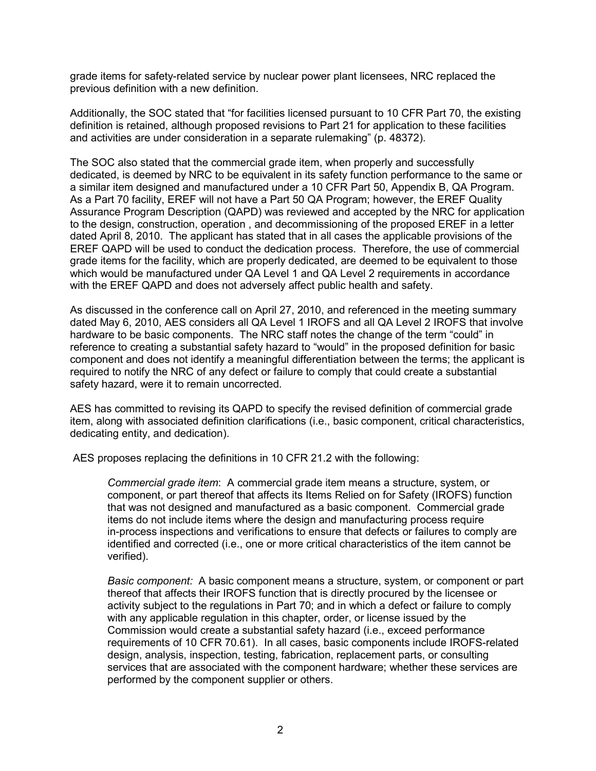grade items for safety-related service by nuclear power plant licensees, NRC replaced the previous definition with a new definition.

Additionally, the SOC stated that "for facilities licensed pursuant to 10 CFR Part 70, the existing definition is retained, although proposed revisions to Part 21 for application to these facilities and activities are under consideration in a separate rulemaking" (p. 48372).

The SOC also stated that the commercial grade item, when properly and successfully dedicated, is deemed by NRC to be equivalent in its safety function performance to the same or a similar item designed and manufactured under a 10 CFR Part 50, Appendix B, QA Program. As a Part 70 facility, EREF will not have a Part 50 QA Program; however, the EREF Quality Assurance Program Description (QAPD) was reviewed and accepted by the NRC for application to the design, construction, operation , and decommissioning of the proposed EREF in a letter dated April 8, 2010. The applicant has stated that in all cases the applicable provisions of the EREF QAPD will be used to conduct the dedication process. Therefore, the use of commercial grade items for the facility, which are properly dedicated, are deemed to be equivalent to those which would be manufactured under QA Level 1 and QA Level 2 requirements in accordance with the EREF QAPD and does not adversely affect public health and safety.

As discussed in the conference call on April 27, 2010, and referenced in the meeting summary dated May 6, 2010, AES considers all QA Level 1 IROFS and all QA Level 2 IROFS that involve hardware to be basic components. The NRC staff notes the change of the term "could" in reference to creating a substantial safety hazard to "would" in the proposed definition for basic component and does not identify a meaningful differentiation between the terms; the applicant is required to notify the NRC of any defect or failure to comply that could create a substantial safety hazard, were it to remain uncorrected.

AES has committed to revising its QAPD to specify the revised definition of commercial grade item, along with associated definition clarifications (i.e., basic component, critical characteristics, dedicating entity, and dedication).

AES proposes replacing the definitions in 10 CFR 21.2 with the following:

*Commercial grade item*: A commercial grade item means a structure, system, or component, or part thereof that affects its Items Relied on for Safety (IROFS) function that was not designed and manufactured as a basic component. Commercial grade items do not include items where the design and manufacturing process require in-process inspections and verifications to ensure that defects or failures to comply are identified and corrected (i.e., one or more critical characteristics of the item cannot be verified).

 *Basic component:* A basic component means a structure, system, or component or part thereof that affects their IROFS function that is directly procured by the licensee or activity subject to the regulations in Part 70; and in which a defect or failure to comply with any applicable regulation in this chapter, order, or license issued by the Commission would create a substantial safety hazard (i.e., exceed performance requirements of 10 CFR 70.61). In all cases, basic components include IROFS-related design, analysis, inspection, testing, fabrication, replacement parts, or consulting services that are associated with the component hardware; whether these services are performed by the component supplier or others.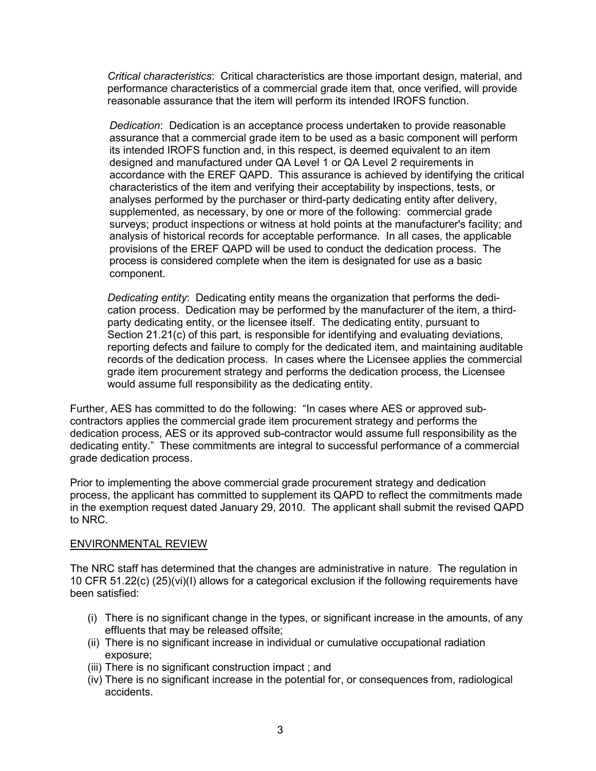*Critical characteristics*: Critical characteristics are those important design, material, and performance characteristics of a commercial grade item that, once verified, will provide reasonable assurance that the item will perform its intended IROFS function.

*Dedication*: Dedication is an acceptance process undertaken to provide reasonable assurance that a commercial grade item to be used as a basic component will perform its intended IROFS function and, in this respect, is deemed equivalent to an item designed and manufactured under QA Level 1 or QA Level 2 requirements in accordance with the EREF QAPD. This assurance is achieved by identifying the critical characteristics of the item and verifying their acceptability by inspections, tests, or analyses performed by the purchaser or third-party dedicating entity after delivery, supplemented, as necessary, by one or more of the following: commercial grade surveys; product inspections or witness at hold points at the manufacturer's facility; and analysis of historical records for acceptable performance. In all cases, the applicable provisions of the EREF QAPD will be used to conduct the dedication process. The process is considered complete when the item is designated for use as a basic component.

*Dedicating entity*: Dedicating entity means the organization that performs the dedication process. Dedication may be performed by the manufacturer of the item, a thirdparty dedicating entity, or the licensee itself. The dedicating entity, pursuant to Section 21.21(c) of this part, is responsible for identifying and evaluating deviations, reporting defects and failure to comply for the dedicated item, and maintaining auditable records of the dedication process. In cases where the Licensee applies the commercial grade item procurement strategy and performs the dedication process, the Licensee would assume full responsibility as the dedicating entity.

Further, AES has committed to do the following: "In cases where AES or approved subcontractors applies the commercial grade item procurement strategy and performs the dedication process, AES or its approved sub-contractor would assume full responsibility as the dedicating entity." These commitments are integral to successful performance of a commercial grade dedication process.

Prior to implementing the above commercial grade procurement strategy and dedication process, the applicant has committed to supplement its QAPD to reflect the commitments made in the exemption request dated January 29, 2010. The applicant shall submit the revised QAPD to NRC.

# ENVIRONMENTAL REVIEW

The NRC staff has determined that the changes are administrative in nature. The regulation in 10 CFR 51.22(c) (25)(vi)(I) allows for a categorical exclusion if the following requirements have been satisfied:

- (i) There is no significant change in the types, or significant increase in the amounts, of any effluents that may be released offsite;
- (ii) There is no significant increase in individual or cumulative occupational radiation exposure;
- (iii) There is no significant construction impact ; and
- (iv) There is no significant increase in the potential for, or consequences from, radiological accidents.